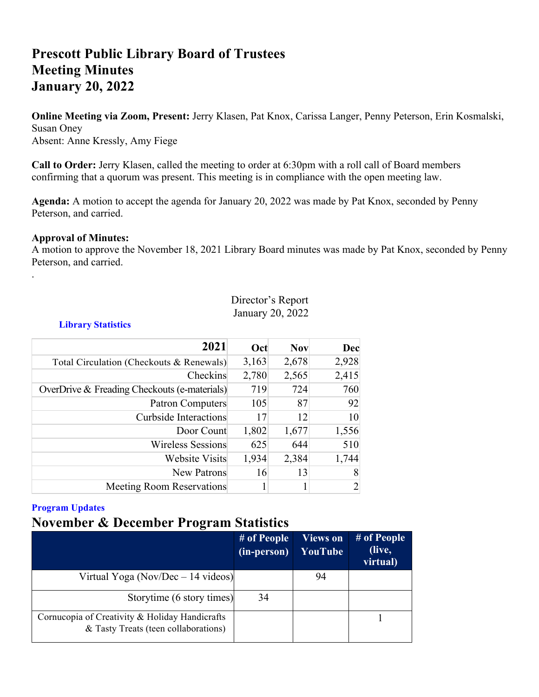# **Prescott Public Library Board of Trustees Meeting Minutes January 20, 2022**

**Online Meeting via Zoom, Present:** Jerry Klasen, Pat Knox, Carissa Langer, Penny Peterson, Erin Kosmalski, Susan Oney Absent: Anne Kressly, Amy Fiege

**Call to Order:** Jerry Klasen, called the meeting to order at 6:30pm with a roll call of Board members confirming that a quorum was present. This meeting is in compliance with the open meeting law.

**Agenda:** A motion to accept the agenda for January 20, 2022 was made by Pat Knox, seconded by Penny Peterson, and carried.

### **Approval of Minutes:**

.

A motion to approve the November 18, 2021 Library Board minutes was made by Pat Knox, seconded by Penny Peterson, and carried.

### Director's Report January 20, 2022

**Library Statistics**

| 2021                                         | Oct   | <b>Nov</b> | Dec            |
|----------------------------------------------|-------|------------|----------------|
| Total Circulation (Checkouts & Renewals)     | 3,163 | 2,678      | 2,928          |
| Checkins                                     | 2,780 | 2,565      | 2,415          |
| OverDrive & Freading Checkouts (e-materials) | 719   | 724        | 760            |
| <b>Patron Computers</b>                      | 105   | 87         | 92             |
| <b>Curbside Interactions</b>                 | 17    | 12         | 10             |
| Door Count                                   | 1,802 | 1,677      | 1,556          |
| <b>Wireless Sessions</b>                     | 625   | 644        | 510            |
| <b>Website Visits</b>                        | 1,934 | 2,384      | 1,744          |
| <b>New Patrons</b>                           | 16    | 13         | 8              |
| <b>Meeting Room Reservations</b>             |       | 1          | $\overline{2}$ |

### **Program Updates**

## **November & December Program Statistics**

|                                                                                        | # of People<br>(in-person) | <b>Views on</b><br>YouTube | # of People<br>(live,<br>virtual) |
|----------------------------------------------------------------------------------------|----------------------------|----------------------------|-----------------------------------|
| Virtual Yoga (Nov/Dec $-14$ videos)                                                    |                            | 94                         |                                   |
| Storytime (6 story times)                                                              | 34                         |                            |                                   |
| Cornucopia of Creativity & Holiday Handicrafts<br>& Tasty Treats (teen collaborations) |                            |                            |                                   |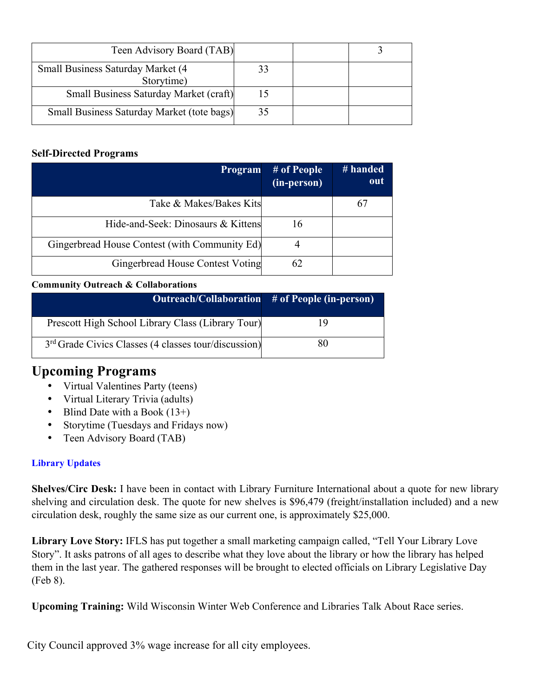| Teen Advisory Board (TAB)                       |    |  |
|-------------------------------------------------|----|--|
| Small Business Saturday Market (4<br>Storytime) |    |  |
| Small Business Saturday Market (craft)          |    |  |
| Small Business Saturday Market (tote bags)      | 35 |  |

### **Self-Directed Programs**

| <b>Program</b>                                | # of People<br>(in-person) | # handed<br>out |
|-----------------------------------------------|----------------------------|-----------------|
| Take & Makes/Bakes Kits                       |                            | 67              |
| Hide-and-Seek: Dinosaurs & Kittens            | 16                         |                 |
| Gingerbread House Contest (with Community Ed) |                            |                 |
| Gingerbread House Contest Voting              | 62                         |                 |

### **Community Outreach & Collaborations**

|                                                                  | Outreach/Collaboration # of People (in-person) |
|------------------------------------------------------------------|------------------------------------------------|
| Prescott High School Library Class (Library Tour)                | 1 Q                                            |
| 3 <sup>rd</sup> Grade Civics Classes (4 classes tour/discussion) | 80                                             |

# **Upcoming Programs**

- Virtual Valentines Party (teens)
- Virtual Literary Trivia (adults)
- Blind Date with a Book  $(13+)$
- Storytime (Tuesdays and Fridays now)
- Teen Advisory Board (TAB)

### **Library Updates**

**Shelves/Circ Desk:** I have been in contact with Library Furniture International about a quote for new library shelving and circulation desk. The quote for new shelves is \$96,479 (freight/installation included) and a new circulation desk, roughly the same size as our current one, is approximately \$25,000.

**Library Love Story:** IFLS has put together a small marketing campaign called, "Tell Your Library Love Story". It asks patrons of all ages to describe what they love about the library or how the library has helped them in the last year. The gathered responses will be brought to elected officials on Library Legislative Day (Feb 8).

**Upcoming Training:** Wild Wisconsin Winter Web Conference and Libraries Talk About Race series.

City Council approved 3% wage increase for all city employees.